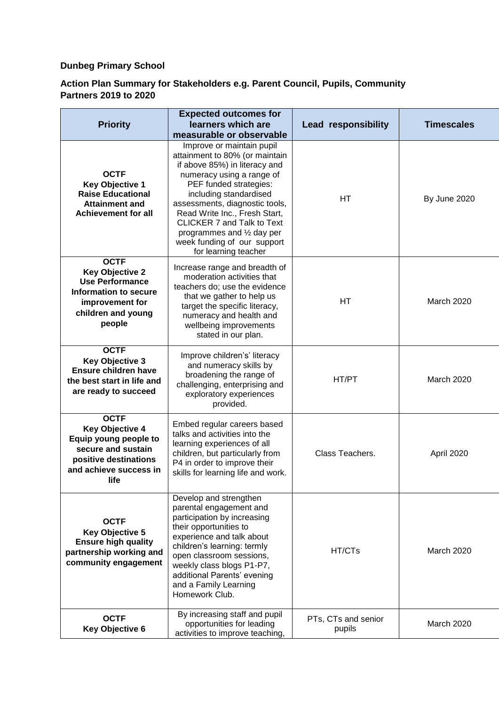## **Dunbeg Primary School**

## **Action Plan Summary for Stakeholders e.g. Parent Council, Pupils, Community Partners 2019 to 2020**

| <b>Priority</b>                                                                                                                                        | <b>Expected outcomes for</b><br>learners which are                                                                                                                                                                                                                                                                                                                                   | <b>Lead responsibility</b>    | <b>Timescales</b> |
|--------------------------------------------------------------------------------------------------------------------------------------------------------|--------------------------------------------------------------------------------------------------------------------------------------------------------------------------------------------------------------------------------------------------------------------------------------------------------------------------------------------------------------------------------------|-------------------------------|-------------------|
|                                                                                                                                                        | measurable or observable                                                                                                                                                                                                                                                                                                                                                             |                               |                   |
| <b>OCTF</b><br><b>Key Objective 1</b><br><b>Raise Educational</b><br><b>Attainment and</b><br><b>Achievement for all</b>                               | Improve or maintain pupil<br>attainment to 80% (or maintain<br>if above 85%) in literacy and<br>numeracy using a range of<br>PEF funded strategies:<br>including standardised<br>assessments, diagnostic tools,<br>Read Write Inc., Fresh Start,<br><b>CLICKER 7 and Talk to Text</b><br>programmes and $\frac{1}{2}$ day per<br>week funding of our support<br>for learning teacher | <b>HT</b>                     | By June 2020      |
| <b>OCTF</b><br><b>Key Objective 2</b><br><b>Use Performance</b><br>Information to secure<br>improvement for<br>children and young<br>people            | Increase range and breadth of<br>moderation activities that<br>teachers do; use the evidence<br>that we gather to help us<br>target the specific literacy,<br>numeracy and health and<br>wellbeing improvements<br>stated in our plan.                                                                                                                                               | НT                            | <b>March 2020</b> |
| <b>OCTF</b><br><b>Key Objective 3</b><br>Ensure children have<br>the best start in life and<br>are ready to succeed                                    | Improve children's' literacy<br>and numeracy skills by<br>broadening the range of<br>challenging, enterprising and<br>exploratory experiences<br>provided.                                                                                                                                                                                                                           | HT/PT                         | <b>March 2020</b> |
| <b>OCTF</b><br><b>Key Objective 4</b><br>Equip young people to<br>secure and sustain<br>positive destinations<br>and achieve success in<br><b>life</b> | Embed regular careers based<br>talks and activities into the<br>learning experiences of all<br>children, but particularly from<br>P4 in order to improve their<br>skills for learning life and work.                                                                                                                                                                                 | Class Teachers.               | April 2020        |
| <b>OCTF</b><br><b>Key Objective 5</b><br><b>Ensure high quality</b><br>partnership working and<br>community engagement                                 | Develop and strengthen<br>parental engagement and<br>participation by increasing<br>their opportunities to<br>experience and talk about<br>children's learning: termly<br>open classroom sessions,<br>weekly class blogs P1-P7,<br>additional Parents' evening<br>and a Family Learning<br>Homework Club.                                                                            | HT/CTs                        | March 2020        |
| <b>OCTF</b><br><b>Key Objective 6</b>                                                                                                                  | By increasing staff and pupil<br>opportunities for leading<br>activities to improve teaching,                                                                                                                                                                                                                                                                                        | PTs, CTs and senior<br>pupils | March 2020        |